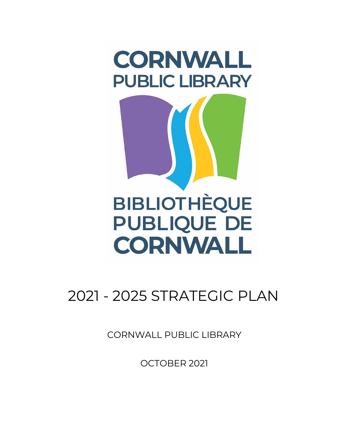

# 2021 - 2025 STRATEGIC PLAN

CORNWALL PUBLIC LIBRARY

OCTOBER 2021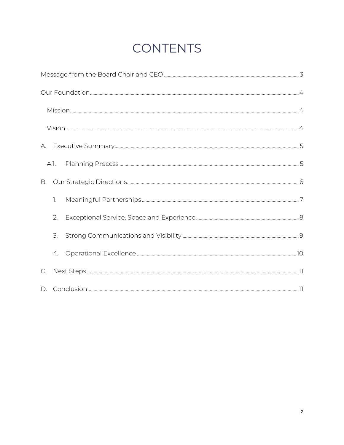## **CONTENTS**

| В.            |    |  |  |
|---------------|----|--|--|
|               | 1. |  |  |
|               | 2. |  |  |
|               | 3. |  |  |
|               | 4. |  |  |
| $\mathsf{C}.$ |    |  |  |
|               |    |  |  |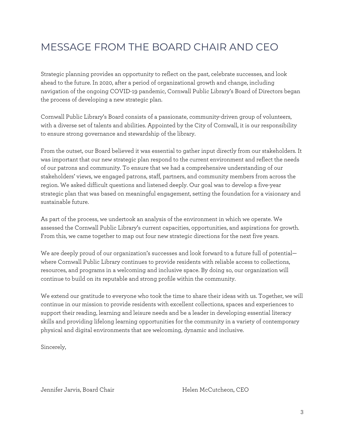### MESSAGE FROM THE BOARD CHAIR AND CEO

Strategic planning provides an opportunity to reflect on the past, celebrate successes, and look ahead to the future. In 2020, after a period of organizational growth and change, including navigation of the ongoing COVID-19 pandemic, Cornwall Public Library's Board of Directors began the process of developing a new strategic plan.

Cornwall Public Library's Board consists of a passionate, community-driven group of volunteers, with a diverse set of talents and abilities. Appointed by the City of Cornwall, it is our responsibility to ensure strong governance and stewardship of the library.

From the outset, our Board believed it was essential to gather input directly from our stakeholders. It was important that our new strategic plan respond to the current environment and reflect the needs of our patrons and community. To ensure that we had a comprehensive understanding of our stakeholders' views, we engaged patrons, staff, partners, and community members from across the region. We asked difficult questions and listened deeply. Our goal was to develop a five-year strategic plan that was based on meaningful engagement, setting the foundation for a visionary and sustainable future.

As part of the process, we undertook an analysis of the environment in which we operate. We assessed the Cornwall Public Library's current capacities, opportunities, and aspirations for growth. From this, we came together to map out four new strategic directions for the next five years.

We are deeply proud of our organization's successes and look forward to a future full of potential where Cornwall Public Library continues to provide residents with reliable access to collections, resources, and programs in a welcoming and inclusive space. By doing so, our organization will continue to build on its reputable and strong profile within the community.

We extend our gratitude to everyone who took the time to share their ideas with us. Together, we will continue in our mission to provide residents with excellent collections, spaces and experiences to support their reading, learning and leisure needs and be a leader in developing essential literacy skills and providing lifelong learning opportunities for the community in a variety of contemporary physical and digital environments that are welcoming, dynamic and inclusive.

Sincerely,

Jennifer Jarvis, Board Chair Francisco Element Helen McCutcheon, CEO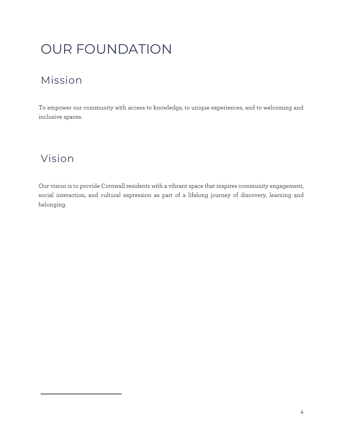# OUR FOUNDATION

### Mission

To empower our community with access to knowledge, to unique experiences, and to welcoming and inclusive spaces.

### Vision1

Our vision is to provide Cornwall residents with a vibrant space that inspires community engagement, social interaction, and cultural expression as part of a lifelong journey of discovery, learning and belonging.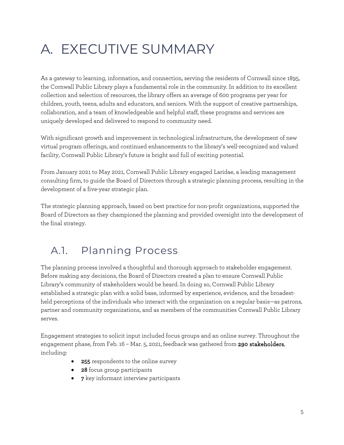# A. EXECUTIVE SUMMARY

As a gateway to learning, information, and connection, serving the residents of Cornwall since 1895, the Cornwall Public Library plays a fundamental role in the community. In addition to its excellent collection and selection of resources, the library offers an average of 600 programs per year for children, youth, teens, adults and educators, and seniors. With the support of creative partnerships, collaboration, and a team of knowledgeable and helpful staff, these programs and services are uniquely developed and delivered to respond to community need.

With significant growth and improvement in technological infrastructure, the development of new virtual program offerings, and continued enhancements to the library's well-recognized and valued facility, Cornwall Public Library's future is bright and full of exciting potential.

From January 2021 to May 2021, Cornwall Public Library engaged Laridae, a leading management consulting firm, to guide the Board of Directors through a strategic planning process, resulting in the development of a five-year strategic plan.

The strategic planning approach, based on best practice for non-profit organizations, supported the Board of Directors as they championed the planning and provided oversight into the development of the final strategy.

### A.1. Planning Process

The planning process involved a thoughtful and thorough approach to stakeholder engagement. Before making any decisions, the Board of Directors created a plan to ensure Cornwall Public Library's community of stakeholders would be heard. In doing so, Cornwall Public Library established a strategic plan with a solid base, informed by experience, evidence, and the broadestheld perceptions of the individuals who interact with the organization on a regular basis—as patrons, partner and community organizations, and as members of the communities Cornwall Public Library serves.

Engagement strategies to solicit input included focus groups and an online survey. Throughout the engagement phase, from Feb. 16 - Mar. 5, 2021, feedback was gathered from 290 stakeholders, including:

- 255 respondents to the online survey
- 28 focus group participants
- 7 key informant interview participants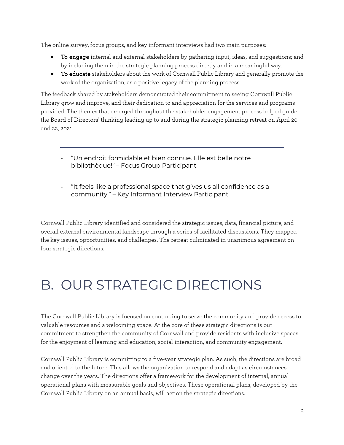The online survey, focus groups, and key informant interviews had two main purposes:

- To engage internal and external stakeholders by gathering input, ideas, and suggestions; and by including them in the strategic planning process directly and in a meaningful way.
- To educate stakeholders about the work of Cornwall Public Library and generally promote the work of the organization, as a positive legacy of the planning process.

The feedback shared by stakeholders demonstrated their commitment to seeing Cornwall Public Library grow and improve, and their dedication to and appreciation for the services and programs provided. The themes that emerged throughout the stakeholder engagement process helped guide the Board of Directors' thinking leading up to and during the strategic planning retreat on April 20 and 22, 2021.

- "Un endroit formidable et bien connue. Elle est belle notre bibliothèque!" – Focus Group Participant
- "It feels like a professional space that gives us all confidence as a community." – Key Informant Interview Participant

Cornwall Public Library identified and considered the strategic issues, data, financial picture, and overall external environmental landscape through a series of facilitated discussions. They mapped the key issues, opportunities, and challenges. The retreat culminated in unanimous agreement on four strategic directions.

# B. OUR STRATEGIC DIRECTIONS

The Cornwall Public Library is focused on continuing to serve the community and provide access to valuable resources and a welcoming space. At the core of these strategic directions is our commitment to strengthen the community of Cornwall and provide residents with inclusive spaces for the enjoyment of learning and education, social interaction, and community engagement.

Cornwall Public Library is committing to a five-year strategic plan. As such, the directions are broad and oriented to the future. This allows the organization to respond and adapt as circumstances change over the years. The directions offer a framework for the development of internal, annual operational plans with measurable goals and objectives. These operational plans, developed by the Cornwall Public Library on an annual basis, will action the strategic directions.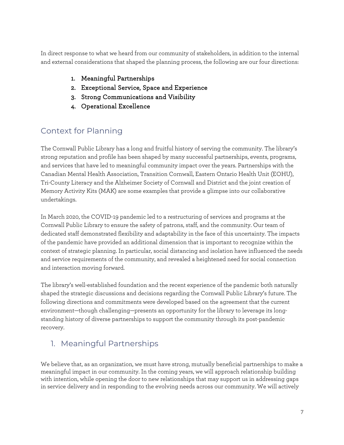In direct response to what we heard from our community of stakeholders, in addition to the internal and external considerations that shaped the planning process, the following are our four directions:

- 1. Meaningful Partnerships
- 2. Exceptional Service, Space and Experience
- 3. Strong Communications and Visibility
- 4. Operational Excellence

#### Context for Planning

The Cornwall Public Library has a long and fruitful history of serving the community. The library's strong reputation and profile has been shaped by many successful partnerships, events, programs, and services that have led to meaningful community impact over the years. Partnerships with the Canadian Mental Health Association, Transition Cornwall, Eastern Ontario Health Unit (EOHU), Tri-County Literacy and the Alzheimer Society of Cornwall and District and the joint creation of Memory Activity Kits (MAK) are some examples that provide a glimpse into our collaborative undertakings.

In March 2020, the COVID-19 pandemic led to a restructuring of services and programs at the Cornwall Public Library to ensure the safety of patrons, staff, and the community. Our team of dedicated staff demonstrated flexibility and adaptability in the face of this uncertainty. The impacts of the pandemic have provided an additional dimension that is important to recognize within the context of strategic planning. In particular, social distancing and isolation have influenced the needs and service requirements of the community, and revealed a heightened need for social connection and interaction moving forward.

The library's well-established foundation and the recent experience of the pandemic both naturally shaped the strategic discussions and decisions regarding the Cornwall Public Library's future. The following directions and commitments were developed based on the agreement that the current environment—though challenging—presents an opportunity for the library to leverage its longstanding history of diverse partnerships to support the community through its post-pandemic recovery.

#### 1. Meaningful Partnerships

We believe that, as an organization, we must have strong, mutually beneficial partnerships to make a meaningful impact in our community. In the coming years, we will approach relationship building with intention, while opening the door to new relationships that may support us in addressing gaps in service delivery and in responding to the evolving needs across our community. We will actively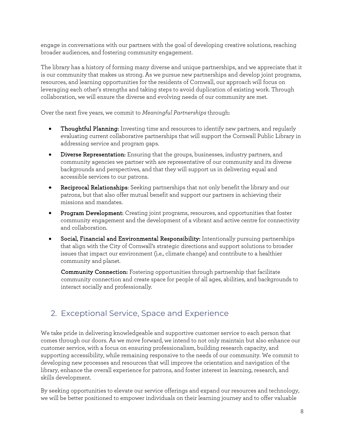engage in conversations with our partners with the goal of developing creative solutions, reaching broader audiences, and fostering community engagement.

The library has a history of forming many diverse and unique partnerships, and we appreciate that it is our community that makes us strong. As we pursue new partnerships and develop joint programs, resources, and learning opportunities for the residents of Cornwall, our approach will focus on leveraging each other's strengths and taking steps to avoid duplication of existing work. Through collaboration, we will ensure the diverse and evolving needs of our community are met.

Over the next five years, we commit to *Meaningful Partnerships* through:

- **Thoughtful Planning:** Investing time and resources to identify new partners, and regularly evaluating current collaborative partnerships that will support the Cornwall Public Library in addressing service and program gaps.
- Diverse Representation: Ensuring that the groups, businesses, industry partners, and community agencies we partner with are representative of our community and its diverse backgrounds and perspectives, and that they will support us in delivering equal and accessible services to our patrons.
- Reciprocal Relationships: Seeking partnerships that not only benefit the library and our patrons, but that also offer mutual benefit and support our partners in achieving their missions and mandates.
- Program Development: Creating joint programs, resources, and opportunities that foster community engagement and the development of a vibrant and active centre for connectivity and collaboration.
- Social, Financial and Environmental Responsibility: Intentionally pursuing partnerships that align with the City of Cornwall's strategic directions and support solutions to broader issues that impact our environment (i.e., climate change) and contribute to a healthier community and planet.

Community Connection: Fostering opportunities through partnership that facilitate community connection and create space for people of all ages, abilities, and backgrounds to interact socially and professionally.

#### 2. Exceptional Service, Space and Experience

We take pride in delivering knowledgeable and supportive customer service to each person that comes through our doors. As we move forward, we intend to not only maintain but also enhance our customer service, with a focus on ensuring professionalism, building research capacity, and supporting accessibility, while remaining responsive to the needs of our community. We commit to developing new processes and resources that will improve the orientation and navigation of the library, enhance the overall experience for patrons, and foster interest in learning, research, and skills development.

By seeking opportunities to elevate our service offerings and expand our resources and technology, we will be better positioned to empower individuals on their learning journey and to offer valuable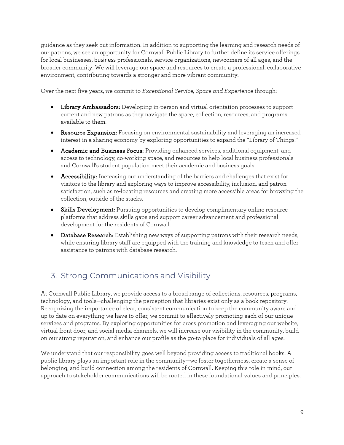guidance as they seek out information. In addition to supporting the learning and research needs of our patrons, we see an opportunity for Cornwall Public Library to further define its service offerings for local businesses, business professionals, service organizations, newcomers of all ages, and the broader community. We will leverage our space and resources to create a professional, collaborative environment, contributing towards a stronger and more vibrant community.

Over the next five years, we commit to *Exceptional Service, Space and Experience* through:

- Library Ambassadors: Developing in-person and virtual orientation processes to support current and new patrons as they navigate the space, collection, resources, and programs available to them.
- Resource Expansion: Focusing on environmental sustainability and leveraging an increased interest in a sharing economy by exploring opportunities to expand the "Library of Things."
- Academic and Business Focus: Providing enhanced services, additional equipment, and access to technology, co-working space, and resources to help local business professionals and Cornwall's student population meet their academic and business goals.
- Accessibility: Increasing our understanding of the barriers and challenges that exist for visitors to the library and exploring ways to improve accessibility, inclusion, and patron satisfaction, such as re-locating resources and creating more accessible areas for browsing the collection, outside of the stacks.
- Skills Development: Pursuing opportunities to develop complimentary online resource platforms that address skills gaps and support career advancement and professional development for the residents of Cornwall.
- Database Research: Establishing new ways of supporting patrons with their research needs, while ensuring library staff are equipped with the training and knowledge to teach and offer assistance to patrons with database research.

### 3. Strong Communications and Visibility

At Cornwall Public Library, we provide access to a broad range of collections, resources, programs, technology, and tools—challenging the perception that libraries exist only as a book repository. Recognizing the importance of clear, consistent communication to keep the community aware and up to date on everything we have to offer, we commit to effectively promoting each of our unique services and programs. By exploring opportunities for cross promotion and leveraging our website, virtual front door, and social media channels, we will increase our visibility in the community, build on our strong reputation, and enhance our profile as the go-to place for individuals of all ages.

We understand that our responsibility goes well beyond providing access to traditional books. A public library plays an important role in the community—we foster togetherness, create a sense of belonging, and build connection among the residents of Cornwall. Keeping this role in mind, our approach to stakeholder communications will be rooted in these foundational values and principles.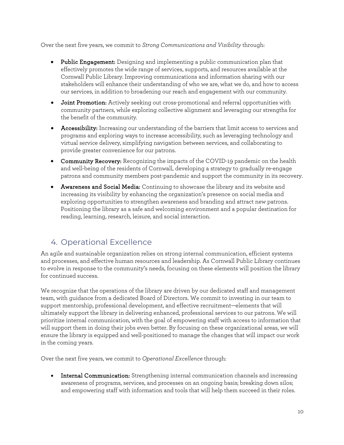Over the next five years, we commit to *Strong Communications and Visibility* through:

- Public Engagement: Designing and implementing a public communication plan that effectively promotes the wide range of services, supports, and resources available at the Cornwall Public Library. Improving communications and information sharing with our stakeholders will enhance their understanding of who we are, what we do, and how to access our services, in addition to broadening our reach and engagement with our community.
- Joint Promotion: Actively seeking out cross-promotional and referral opportunities with community partners, while exploring collective alignment and leveraging our strengths for the benefit of the community.
- Accessibility: Increasing our understanding of the barriers that limit access to services and programs and exploring ways to increase accessibility, such as leveraging technology and virtual service delivery, simplifying navigation between services, and collaborating to provide greater convenience for our patrons.
- Community Recovery: Recognizing the impacts of the COVID-19 pandemic on the health and well-being of the residents of Cornwall, developing a strategy to gradually re-engage patrons and community members post-pandemic and support the community in its recovery.
- Awareness and Social Media: Continuing to showcase the library and its website and increasing its visibility by enhancing the organization's presence on social media and exploring opportunities to strengthen awareness and branding and attract new patrons. Positioning the library as a safe and welcoming environment and a popular destination for reading, learning, research, leisure, and social interaction.

#### 4. Operational Excellence

An agile and sustainable organization relies on strong internal communication, efficient systems and processes, and effective human resources and leadership. As Cornwall Public Library continues to evolve in response to the community's needs, focusing on these elements will position the library for continued success.

We recognize that the operations of the library are driven by our dedicated staff and management team, with guidance from a dedicated Board of Directors. We commit to investing in our team to support mentorship, professional development, and effective recruitment—elements that will ultimately support the library in delivering enhanced, professional services to our patrons. We will prioritize internal communication, with the goal of empowering staff with access to information that will support them in doing their jobs even better. By focusing on these organizational areas, we will ensure the library is equipped and well-positioned to manage the changes that will impact our work in the coming years.

Over the next five years, we commit to *Operational Excellence* through:

• Internal Communication: Strengthening internal communication channels and increasing awareness of programs, services, and processes on an ongoing basis; breaking down silos; and empowering staff with information and tools that will help them succeed in their roles.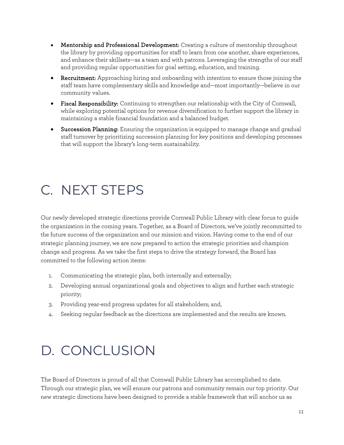- Mentorship and Professional Development: Creating a culture of mentorship throughout the library by providing opportunities for staff to learn from one another, share experiences, and enhance their skillsets—as a team and with patrons. Leveraging the strengths of our staff and providing regular opportunities for goal setting, education, and training.
- Recruitment: Approaching hiring and onboarding with intention to ensure those joining the staff team have complementary skills and knowledge and—most importantly—believe in our community values.
- Fiscal Responsibility: Continuing to strengthen our relationship with the City of Cornwall, while exploring potential options for revenue diversification to further support the library in maintaining a stable financial foundation and a balanced budget.
- Succession Planning: Ensuring the organization is equipped to manage change and gradual staff turnover by prioritizing succession planning for key positions and developing processes that will support the library's long-term sustainability.

## C. NEXT STEPS

Our newly developed strategic directions provide Cornwall Public Library with clear focus to guide the organization in the coming years. Together, as a Board of Directors, we've jointly recommitted to the future success of the organization and our mission and vision. Having come to the end of our strategic planning journey, we are now prepared to action the strategic priorities and champion change and progress. As we take the first steps to drive the strategy forward, the Board has committed to the following action items:

- 1. Communicating the strategic plan, both internally and externally;
- 2. Developing annual organizational goals and objectives to align and further each strategic priority;
- 3. Providing year-end progress updates for all stakeholders; and,
- 4. Seeking regular feedback as the directions are implemented and the results are known.

## D. CONCLUSION

The Board of Directors is proud of all that Cornwall Public Library has accomplished to date. Through our strategic plan, we will ensure our patrons and community remain our top priority. Our new strategic directions have been designed to provide a stable framework that will anchor us as